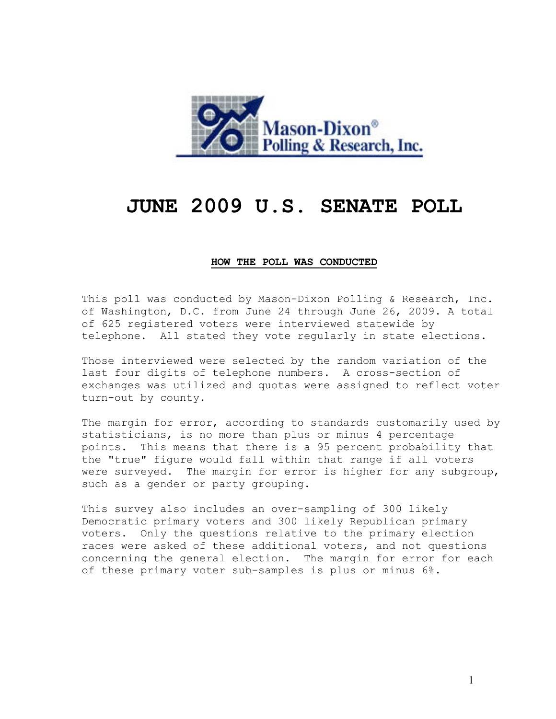

# **JUNE 2009 U.S. SENATE POLL**

### **HOW THE POLL WAS CONDUCTED**

This poll was conducted by Mason-Dixon Polling & Research, Inc. of Washington, D.C. from June 24 through June 26, 2009. A total of 625 registered voters were interviewed statewide by telephone. All stated they vote regularly in state elections.

Those interviewed were selected by the random variation of the last four digits of telephone numbers. A cross-section of exchanges was utilized and quotas were assigned to reflect voter turn-out by county.

The margin for error, according to standards customarily used by statisticians, is no more than plus or minus 4 percentage points. This means that there is a 95 percent probability that the "true" figure would fall within that range if all voters were surveyed. The margin for error is higher for any subgroup, such as a gender or party grouping.

This survey also includes an over-sampling of 300 likely Democratic primary voters and 300 likely Republican primary voters. Only the questions relative to the primary election races were asked of these additional voters, and not questions concerning the general election. The margin for error for each of these primary voter sub-samples is plus or minus 6%.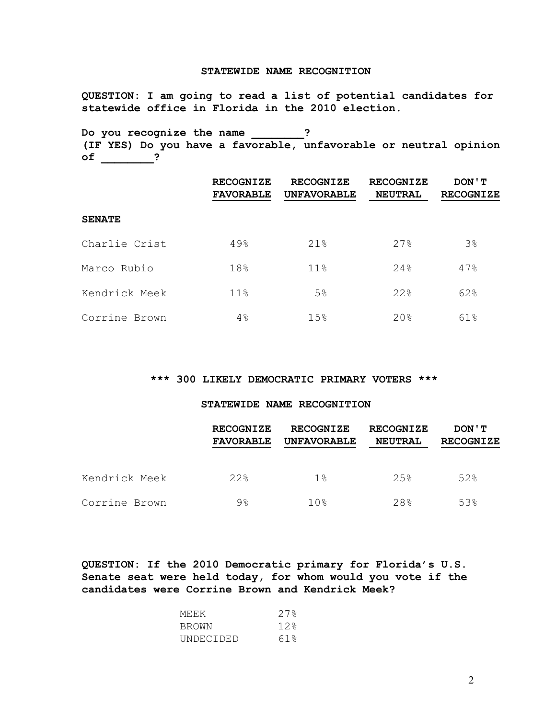#### **STATEWIDE NAME RECOGNITION**

**QUESTION: I am going to read a list of potential candidates for statewide office in Florida in the 2010 election.**

**Do you recognize the name \_\_\_\_\_\_\_\_? (IF YES) Do you have a favorable, unfavorable or neutral opinion of \_\_\_\_\_\_\_\_?**

|               | <b>RECOGNIZE</b><br><b>FAVORABLE</b> | <b>RECOGNIZE</b><br><b>UNFAVORABLE</b> | <b>RECOGNIZE</b><br><b>NEUTRAL</b> | DON ' T<br><b>RECOGNIZE</b> |
|---------------|--------------------------------------|----------------------------------------|------------------------------------|-----------------------------|
| <b>SENATE</b> |                                      |                                        |                                    |                             |
| Charlie Crist | 49%                                  | 21%                                    | 27%                                | 3%                          |
| Marco Rubio   | 18%                                  | 11%                                    | 24%                                | 47%                         |
| Kendrick Meek | 11%                                  | 5 <sup>°</sup>                         | 22%                                | 62%                         |
| Corrine Brown | 4%                                   | 15%                                    | 20%                                | 61%                         |

## **\*\*\* 300 LIKELY DEMOCRATIC PRIMARY VOTERS \*\*\***

## **STATEWIDE NAME RECOGNITION**

|               | <b>RECOGNIZE</b><br><b>FAVORABLE</b> | <b>RECOGNIZE</b><br><b>UNFAVORABLE</b> | <b>RECOGNIZE</b><br><b>NEUTRAL</b> | DON ' T<br><b>RECOGNIZE</b> |
|---------------|--------------------------------------|----------------------------------------|------------------------------------|-----------------------------|
| Kendrick Meek | 22%                                  | 1%                                     | 2.5%                               | 52%                         |
| Corrine Brown | $9\%$                                | 10 <sub>8</sub>                        | 28                                 | 53%                         |

**QUESTION: If the 2010 Democratic primary for Florida's U.S. Senate seat were held today, for whom would you vote if the candidates were Corrine Brown and Kendrick Meek?**

| ME.E.K    | 27.8 |
|-----------|------|
| BROWN     | 12.8 |
| UNDECIDED | 61 % |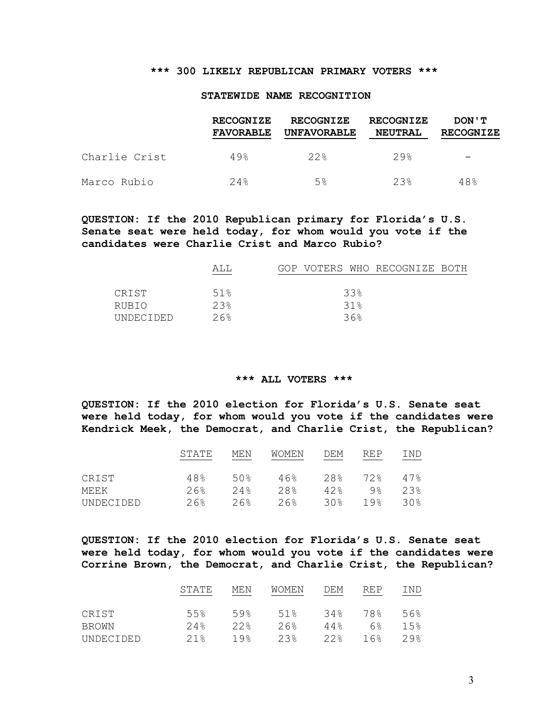## **\*\*\* 300 LIKELY REPUBLICAN PRIMARY VOTERS \*\*\***

#### **STATEWIDE NAME RECOGNITION**

|               | <b>RECOGNIZE</b><br><b>FAVORABLE</b> | <b>RECOGNIZE</b><br><b>UNFAVORABLE</b> | <b>RECOGNIZE</b><br><b>NEUTRAL</b> | DON ' T<br><b>RECOGNIZE</b> |
|---------------|--------------------------------------|----------------------------------------|------------------------------------|-----------------------------|
| Charlie Crist | $49$ <sup>2</sup>                    | 22.8                                   | $29$ <sup>2</sup>                  |                             |
| Marco Rubio   | 2.4%                                 | 5%                                     | 23%                                | 48%                         |

## **QUESTION: If the 2010 Republican primary for Florida's U.S. Senate seat were held today, for whom would you vote if the candidates were Charlie Crist and Marco Rubio?**

|              | AT.T.  | GOP VOTERS WHO RECOGNIZE BOTH |
|--------------|--------|-------------------------------|
|              |        |                               |
| <b>CRIST</b> | 51%    | 33%                           |
| RUBIO        | 2.3%   | 31%                           |
| UNDECIDED    | $26$ . | 36%                           |

#### **\*\*\* ALL VOTERS \*\*\***

**QUESTION: If the 2010 election for Florida's U.S. Senate seat were held today, for whom would you vote if the candidates were Kendrick Meek, the Democrat, and Charlie Crist, the Republican?**

|           | STATE  | MF.N            | <b>WOMEN</b> | DEM | RF.P           | IND |
|-----------|--------|-----------------|--------------|-----|----------------|-----|
|           |        |                 |              |     |                |     |
| CRIST     | 48%    | 50 <sub>8</sub> | 46%          | 28% | 72%            | 47% |
| MEEK      | $26$ . | 2.4%            | 28.8         | 42% | 9 <sub>8</sub> | 23  |
| UNDECIDED | $26$ . | $26$ .          | $26$ .       | 30% | <u> 19%</u>    | 30g |

**QUESTION: If the 2010 election for Florida's U.S. Senate seat were held today, for whom would you vote if the candidates were Corrine Brown, the Democrat, and Charlie Crist, the Republican?**

|              | STATE | MEN             | WOMEN | DEM  | <b>REP</b> | IND               |
|--------------|-------|-----------------|-------|------|------------|-------------------|
| CRIST        | 5.5%  | 59%             | 51%   | 34%  | 78%        | 56%               |
| <b>BROWN</b> | 2.4%  | 22.8            | 26%   | 44%  | $6\%$      | 1.5%              |
| UNDECIDED    | 21%   | 19 <sub>8</sub> | 2.3%  | 22.8 | 16%        | $29$ <sup>2</sup> |